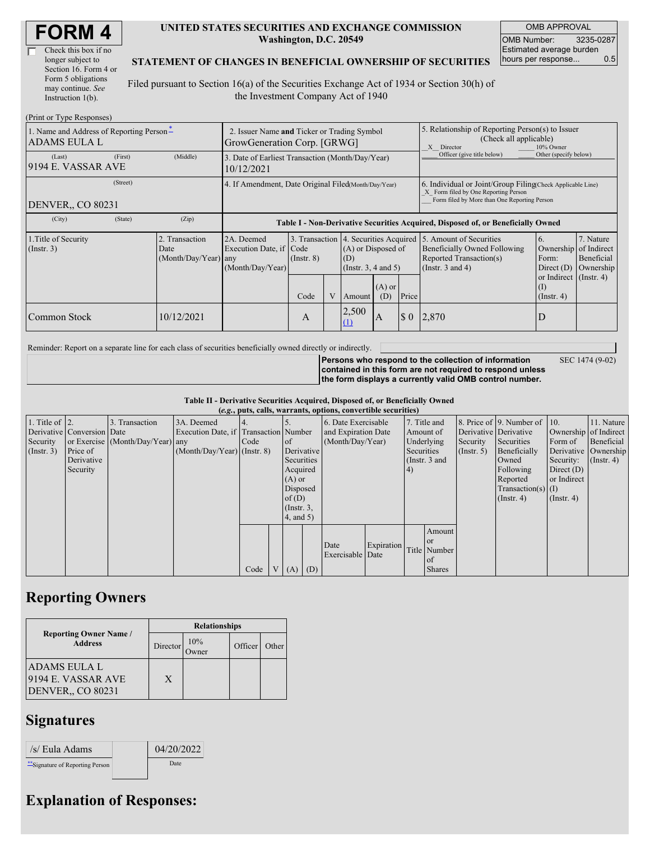| Check this box if no  |
|-----------------------|
| longer subject to     |
| Section 16. Form 4 or |
| Form 5 obligations    |
| may continue. See     |
| Instruction 1(b).     |

#### **UNITED STATES SECURITIES AND EXCHANGE COMMISSION Washington, D.C. 20549**

OMB APPROVAL OMB Number: 3235-0287 Estimated average burden hours per response... 0.5

#### **STATEMENT OF CHANGES IN BENEFICIAL OWNERSHIP OF SECURITIES**

Filed pursuant to Section 16(a) of the Securities Exchange Act of 1934 or Section 30(h) of the Investment Company Act of 1940

| (Print or Type Responses)                                            |                                                                            |                                                                                  |                 |  |                                                                                            |                 |                                                                                                                                                    |                                                                                                             |                                                                  |                                                     |
|----------------------------------------------------------------------|----------------------------------------------------------------------------|----------------------------------------------------------------------------------|-----------------|--|--------------------------------------------------------------------------------------------|-----------------|----------------------------------------------------------------------------------------------------------------------------------------------------|-------------------------------------------------------------------------------------------------------------|------------------------------------------------------------------|-----------------------------------------------------|
| 1. Name and Address of Reporting Person <sup>*</sup><br>ADAMS EULA L | 2. Issuer Name and Ticker or Trading Symbol<br>GrowGeneration Corp. [GRWG] |                                                                                  |                 |  |                                                                                            |                 | 5. Relationship of Reporting Person(s) to Issuer<br>(Check all applicable)<br>X Director<br>10% Owner                                              |                                                                                                             |                                                                  |                                                     |
| (First)<br>(Last)<br>9194 E. VASSAR AVE                              | (Middle)                                                                   | 3. Date of Earliest Transaction (Month/Day/Year)<br>10/12/2021                   |                 |  |                                                                                            |                 |                                                                                                                                                    | Officer (give title below)                                                                                  | Other (specify below)                                            |                                                     |
| (Street)<br><b>DENVER., CO 80231</b>                                 | 4. If Amendment, Date Original Filed(Month/Day/Year)                       |                                                                                  |                 |  |                                                                                            |                 | 6. Individual or Joint/Group Filing Check Applicable Line)<br>X Form filed by One Reporting Person<br>Form filed by More than One Reporting Person |                                                                                                             |                                                                  |                                                     |
| (State)<br>(City)                                                    | (Zip)                                                                      | Table I - Non-Derivative Securities Acquired, Disposed of, or Beneficially Owned |                 |  |                                                                                            |                 |                                                                                                                                                    |                                                                                                             |                                                                  |                                                     |
| 1. Title of Security<br>(Insert. 3)                                  | 2. Transaction<br>Date<br>(Month/Day/Year) any                             | 2A. Deemed<br>Execution Date, if Code<br>(Month/Day/Year)                        | $($ Instr. $8)$ |  | 3. Transaction 4. Securities Acquired<br>(A) or Disposed of<br>(D)<br>(Insert. 3, 4 and 5) |                 |                                                                                                                                                    | 5. Amount of Securities<br>Beneficially Owned Following<br>Reported Transaction(s)<br>(Instr. $3$ and $4$ ) | 6.<br>Ownership<br>Form:<br>Direct $(D)$                         | 7. Nature<br>of Indirect<br>Beneficial<br>Ownership |
|                                                                      |                                                                            |                                                                                  | Code            |  | Amount                                                                                     | $(A)$ or<br>(D) | Price                                                                                                                                              |                                                                                                             | or Indirect $($ Instr. 4 $)$<br>$\rm _{(1)}$<br>$($ Instr. 4 $)$ |                                                     |
| Common Stock                                                         | 10/12/2021                                                                 |                                                                                  | A               |  | 2,500<br>(1)                                                                               | A               | $\boldsymbol{\mathsf{S}}$ 0                                                                                                                        | 2,870                                                                                                       |                                                                  |                                                     |

Reminder: Report on a separate line for each class of securities beneficially owned directly or indirectly.

SEC 1474 (9-02)

**Persons who respond to the collection of information contained in this form are not required to respond unless the form displays a currently valid OMB control number.**

**Table II - Derivative Securities Acquired, Disposed of, or Beneficially Owned (***e.g.***, puts, calls, warrants, options, convertible securities)**

|                        | $(c, g, pus, can, wariants, vpuons, convcitum, scuituus)$ |                                  |                                       |      |                |                 |  |                     |            |            |               |                       |                              |                       |                      |
|------------------------|-----------------------------------------------------------|----------------------------------|---------------------------------------|------|----------------|-----------------|--|---------------------|------------|------------|---------------|-----------------------|------------------------------|-----------------------|----------------------|
| 1. Title of $\vert$ 2. |                                                           | 3. Transaction                   | 3A. Deemed                            |      |                |                 |  | 6. Date Exercisable |            |            | 7. Title and  |                       | 8. Price of 9. Number of 10. |                       | 11. Nature           |
|                        | Derivative Conversion Date                                |                                  | Execution Date, if Transaction Number |      |                |                 |  | and Expiration Date |            |            | Amount of     | Derivative Derivative |                              | Ownership of Indirect |                      |
| Security               |                                                           | or Exercise (Month/Day/Year) any |                                       | Code |                | $\circ$ f       |  | (Month/Day/Year)    |            |            | Underlying    | Security              | Securities                   | Form of               | Beneficial           |
| (Insert. 3)            | Price of                                                  |                                  | $(Month/Day/Year)$ (Instr. 8)         |      |                | Derivative      |  |                     |            | Securities |               | $($ Instr. 5 $)$      | Beneficially                 |                       | Derivative Ownership |
|                        | Derivative                                                |                                  |                                       |      |                | Securities      |  |                     |            |            | (Instr. 3 and |                       | Owned                        | Security:             | $($ Instr. 4 $)$     |
|                        | Security                                                  |                                  |                                       |      |                | Acquired        |  |                     |            | (4)        |               |                       | Following                    | Direct $(D)$          |                      |
|                        |                                                           |                                  |                                       |      |                | $(A)$ or        |  |                     |            |            |               |                       | Reported                     | or Indirect           |                      |
|                        |                                                           |                                  |                                       |      |                | Disposed        |  |                     |            |            |               |                       | Transaction(s) $(I)$         |                       |                      |
|                        |                                                           |                                  |                                       |      |                | of $(D)$        |  |                     |            |            |               |                       | $($ Instr. 4 $)$             | $($ Instr. 4 $)$      |                      |
|                        |                                                           |                                  |                                       |      |                | $($ Instr. $3,$ |  |                     |            |            |               |                       |                              |                       |                      |
|                        |                                                           |                                  |                                       |      |                | 4, and 5)       |  |                     |            |            |               |                       |                              |                       |                      |
|                        |                                                           |                                  |                                       |      |                |                 |  |                     |            |            | Amount        |                       |                              |                       |                      |
|                        |                                                           |                                  |                                       |      |                |                 |  | Date                | Expiration |            | or or         |                       |                              |                       |                      |
|                        |                                                           |                                  |                                       |      |                |                 |  | Exercisable Date    |            |            | Title Number  |                       |                              |                       |                      |
|                        |                                                           |                                  |                                       |      |                |                 |  |                     |            |            | of            |                       |                              |                       |                      |
|                        |                                                           |                                  |                                       | Code | V <sub>1</sub> | $(A)$ $(D)$     |  |                     |            |            | <b>Shares</b> |                       |                              |                       |                      |

### **Reporting Owners**

|                                                                       | <b>Relationships</b> |             |         |       |  |  |  |  |
|-----------------------------------------------------------------------|----------------------|-------------|---------|-------|--|--|--|--|
| <b>Reporting Owner Name /</b><br><b>Address</b>                       | Director             | 10%<br>wner | Officer | Other |  |  |  |  |
| <b>ADAMS EULA L</b><br>9194 E. VASSAR AVE<br><b>DENVER,, CO 80231</b> | X                    |             |         |       |  |  |  |  |

## **Signatures**

| /s/ Eula Adams                   | 04/20/2022 |
|----------------------------------|------------|
| ** Signature of Reporting Person | Date       |

# **Explanation of Responses:**